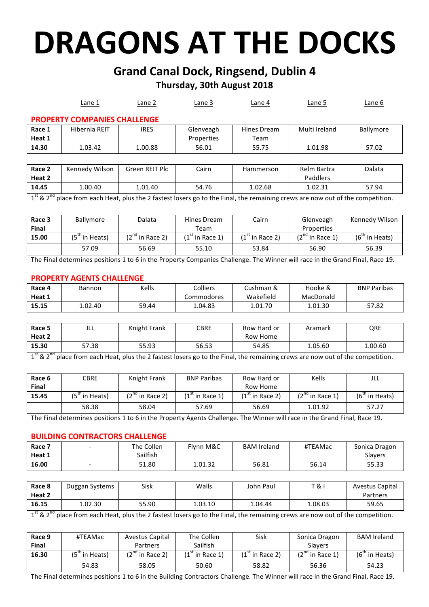# **DRAGONS AT THE DOCKS**

# **Grand Canal Dock, Ringsend, Dublin 4**

# **Thursday, 30th August 2018**

|                                     | Lane 1         | Lane 2         | Lane 3     | Lane 4      | Lane 5        | Lane 6    |  |  |  |
|-------------------------------------|----------------|----------------|------------|-------------|---------------|-----------|--|--|--|
| <b>PROPERTY COMPANIES CHALLENGE</b> |                |                |            |             |               |           |  |  |  |
| Race 1                              | Hibernia REIT  | <b>IRES</b>    | Glenveagh  | Hines Dream | Multi Ireland | Ballymore |  |  |  |
| Heat 1                              |                |                | Properties | Team        |               |           |  |  |  |
| 14.30                               | 1.03.42        | 1.00.88        | 56.01      | 55.75       | 1.01.98       | 57.02     |  |  |  |
|                                     |                |                |            |             |               |           |  |  |  |
| Race 2                              | Kennedy Wilson | Green REIT Plc | Cairn      | Hammerson   | Relm Bartra   | Dalata    |  |  |  |
| Heat 2                              |                |                |            |             | Paddlers      |           |  |  |  |
| 14.45<br>nd<br>$^{+}$               | 1.00.40        | 1.01.40        | 54.76      | 1.02.68     | 1.02.31       | 57.94     |  |  |  |

place from each Heat, plus the 2 fastest losers go to the Final, the remaining crews are now out of the competition.

| Race 3       | <b>Ballymore</b> | Dalata               | Hines Dream        | Cairn             | Glenveagh            | Kennedy Wilson |
|--------------|------------------|----------------------|--------------------|-------------------|----------------------|----------------|
| <b>Final</b> |                  |                      | Team               |                   | Properties           |                |
| 15.00        | (5…in Heats)     | $(2^{nd}$ in Race 2) | $(1)$ " in Race 1) | $(1st$ in Race 2) | $(2^{nd}$ in Race 1) | (6 tin Heats)  |
|              | 57.09            | 56.69                | 55.10              | 53.84             | 56.90                | 56.39          |

The Final determines positions 1 to 6 in the Property Companies Challenge. The Winner will race in the Grand Final, Race 19.

## **PROPERTY AGENTS CHALLENGE**

| Race 4 | Bannon  | Kells | <b>Colliers</b> | Cushman & | Hooke &   | <b>BNP Paribas</b> |
|--------|---------|-------|-----------------|-----------|-----------|--------------------|
| Heat 1 |         |       | Commodores      | Wakefield | MacDonald |                    |
| 15.15  | 1.02.40 | 59.44 | 1.04.83         | 1.01.70   | 1.01.30   | 57.82              |

| Race 5                        | JLL   | Knight Frank | CBRE  | Row Hard or | Aramark | QRE     |
|-------------------------------|-------|--------------|-------|-------------|---------|---------|
| Heat 2                        |       |              |       | Row Home    |         |         |
| 15.30                         | 57.38 | 55.93        | 56.53 | 54.85       | 1.05.60 | 1.00.60 |
| $\mathsf{ct}$ - $\mathsf{nd}$ |       | .            | ____  |             | .       | .       |

 $1^{st}$  &  $2^{nd}$  place from each Heat, plus the 2 fastest losers go to the Final, the remaining crews are now out of the competition.

| Race 6 | <b>CBRE</b>      | Knight Frank      | <b>BNP Paribas</b> | Row Hard or       | Kells                | JLL              |
|--------|------------------|-------------------|--------------------|-------------------|----------------------|------------------|
| Final  |                  |                   |                    | Row Home          |                      |                  |
| 15.45  | $(5th$ in Heats) | $(2nd$ in Race 2) | $(1st$ in Race 1)  | $(1st$ in Race 2) | $(2^{nd}$ in Race 1) | $(6th$ in Heats) |
|        | 58.38            | 58.04             | 57.69              | 56.69             | 1.01.92              | 57.27            |

The Final determines positions 1 to 6 in the Property Agents Challenge. The Winner will race in the Grand Final, Race 19.

## **BUILDING CONTRACTORS CHALLENGE**

| Race 7 | $\overline{\phantom{0}}$ | The Collen | Flvnn M&C | <b>BAM Ireland</b> | #TEAMac | Sonica Dragon  |
|--------|--------------------------|------------|-----------|--------------------|---------|----------------|
| Heat 1 |                          | Sailfish   |           |                    |         | <b>Slavers</b> |
| 16.00  | $\overline{\phantom{0}}$ | 51.80      | 1.01.32   | 56.81              | 56.14   | 55.33          |

| Race 8 | Duggan Systems | Sisk  | Walls   | John Paul | <b>T&amp;I</b> | Avestus Capital |
|--------|----------------|-------|---------|-----------|----------------|-----------------|
| Heat 2 |                |       |         |           |                | Partners        |
| 16.15  | 1.02.30        | 55.90 | 1.03.10 | 1.04.44   | 1.08.03        | 59.65           |

 $1^{st}$  &  $2^{nd}$  place from each Heat, plus the 2 fastest losers go to the Final, the remaining crews are now out of the competition.

| Race 9       | #TEAMac       | Avestus Capital   | The Collen       | Sisk              | Sonica Dragon        | <b>BAM Ireland</b> |
|--------------|---------------|-------------------|------------------|-------------------|----------------------|--------------------|
| <b>Final</b> |               | Partners          | Sailfish         |                   | <b>Slavers</b>       |                    |
| 16.30        | (5 tin Heats) | $(2nd$ in Race 2) | $(1)$ in Race 1) | $(1st$ in Race 2) | $(2^{nd}$ in Race 1) | $(6th$ in Heats)   |
|              | 54.83         | 58.05             | 50.60            | 58.82             | 56.36                | 54.23              |

The Final determines positions 1 to 6 in the Building Contractors Challenge. The Winner will race in the Grand Final, Race 19.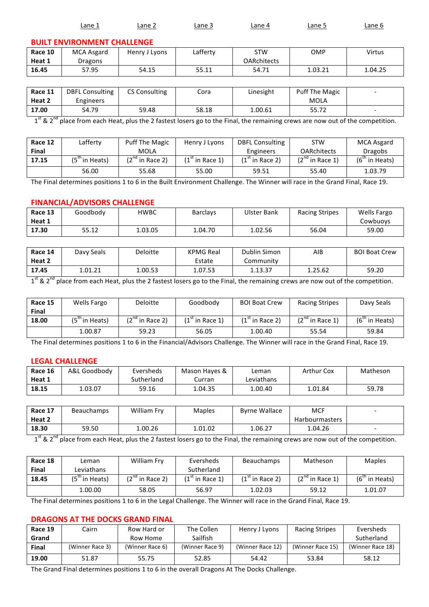|         | Lane 1                             | Lane 2        | Lane 3   | Lane 4             | Lane 5 | Lane 6 |
|---------|------------------------------------|---------------|----------|--------------------|--------|--------|
|         | <b>BUILT ENVIRONMENT CHALLENGE</b> |               |          |                    |        |        |
| Race 10 | MCA Asgard                         | Henry J Lyons | Lafferty | <b>STW</b>         | OMP    | Virtus |
| Heat 1  | Dragons                            |               |          | <b>OARchitects</b> |        |        |

| Race 11 | <b>DBFL Consulting</b> | <b>CS Consulting</b> | Cora  | Linesight | Puff The Magic |  |
|---------|------------------------|----------------------|-------|-----------|----------------|--|
| Heat 2  | Engineers              |                      |       |           | MOLA           |  |
| 17.00   | 54.79                  | 59.48                | 58.18 | 1.00.61   | 55.72          |  |

**16.45** | 57.95 | 54.15 | 55.11 | 54.71 | 1.03.21 | 1.04.25

 $1^{st}$  &  $2^{nd}$  place from each Heat, plus the 2 fastest losers go to the Final, the remaining crews are now out of the competition.

| Race 12      | Lafferty         | <b>Puff The Magic</b> | Henry J Lyons     | <b>DBFL Consulting</b> | <b>STW</b>         | <b>MCA Asgard</b> |
|--------------|------------------|-----------------------|-------------------|------------------------|--------------------|-------------------|
| <b>Final</b> |                  | MOLA                  |                   | <b>Engineers</b>       | <b>OARchitects</b> | <b>Dragobs</b>    |
| 17.15        | $(5tn$ in Heats) | $(2^{nd}$ in Race 2)  | $(1st$ in Race 1) | $(1st$ in Race 2)      | $(2nd$ in Race 1)  | $(6th$ in Heats)  |
|              | 56.00            | 55.68                 | 55.00             | 59.51                  | 55.40              | 1.03.79           |

The Final determines positions 1 to 6 in the Built Environment Challenge. The Winner will race in the Grand Final, Race 19.

## **FINANCIAL/ADVISORS CHALLENGE**

| Race 13 | Goodbody | HWBC    | <b>Barclays</b> | <b>Ulster Bank</b> | <b>Racing Stripes</b> | <b>Wells Fargo</b> |
|---------|----------|---------|-----------------|--------------------|-----------------------|--------------------|
| Heat 1  |          |         |                 |                    |                       | Cowbuovs           |
| 17.30   | 55.12    | 1.03.05 | 1.04.70         | 1.02.56            | 56.04                 | 59.00              |

| Race 14 | Davy Seals | Deloitte | <b>KPMG Real</b> | Dublin Simon | AIB     | <b>BOI Boat Crew</b> |
|---------|------------|----------|------------------|--------------|---------|----------------------|
| Heat 2  |            |          | Estate           | Community    |         |                      |
| 17.45   | 1.01.21    | 1.00.53  | 1.07.53          | 1.13.37      | 1.25.62 | 59.20                |

1<sup>st</sup> & 2<sup>nd</sup> place from each Heat, plus the 2 fastest losers go to the Final, the remaining crews are now out of the competition.

| Race 15<br><b>Final</b> | Wells Fargo      | <b>Deloitte</b>      | Goodbody          | <b>BOI Boat Crew</b> | <b>Racing Stripes</b> | Davy Seals       |
|-------------------------|------------------|----------------------|-------------------|----------------------|-----------------------|------------------|
| 18.00                   | $(5tn$ in Heats) | $(2^{nd}$ in Race 2) | $(1st$ in Race 1) | $(1st$ in Race 2)    | $(2^{nd}$ in Race 1)  | $(6th$ in Heats) |
|                         | 1.00.87          | 59.23                | 56.05             | 1.00.40              | 55.54                 | 59.84            |

The Final determines positions 1 to 6 in the Financial/Advisors Challenge. The Winner will race in the Grand Final, Race 19.

### **LEGAL CHALLENGE**

| Race 16 | A&L Goodbody | Eversheds  | Mason Haves & | Leman      | Arthur Cox | Matheson |
|---------|--------------|------------|---------------|------------|------------|----------|
| Heat 1  |              | Sutherland | Curran        | Leviathans |            |          |
| 18.15   | 1.03.07      | 59.16      | .04.35        | ـ 00.40.   | 1.01.84    | 59.78    |

| Race 17       | <b>Beauchamps</b> | <b>William Frv</b> | <b>Maples</b> | <b>Byrne Wallace</b> | <b>MCF</b>            |  |
|---------------|-------------------|--------------------|---------------|----------------------|-----------------------|--|
| Heat 2        |                   |                    |               |                      | <b>Harbourmasters</b> |  |
| 18.30<br>$-1$ | 59.50             | 1.00.26            | 1.01.02       | 1.06.27              | 1.04.26               |  |

 $1^{st}$  &  $2^{nd}$  place from each Heat, plus the 2 fastest losers go to the Final, the remaining crews are now out of the competition.

| Race 18      | Leman         | William Fry       | Eversheds        | <b>Beauchamps</b> | Matheson             | <b>Maples</b>    |
|--------------|---------------|-------------------|------------------|-------------------|----------------------|------------------|
| <b>Final</b> | Leviathans    |                   | Sutherland       |                   |                      |                  |
| 18.45        | (5 tin Heats) | $(2nd$ in Race 2) | $(1)$ in Race 1) | $(1st$ in Race 2) | $(2^{nd}$ in Race 1) | $(6th$ in Heats) |
|              | 00.00. ،      | 58.05             | 56.97            | 1.02.03           | 59.12                | 1.01.07          |

The Final determines positions 1 to 6 in the Legal Challenge. The Winner will race in the Grand Final, Race 19.

# **DRAGONS AT THE DOCKS GRAND FINAL**

| Race 19      | Cairn           | Row Hard or     | The Collen      | Henry J Lyons    | <b>Racing Stripes</b> | Eversheds        |
|--------------|-----------------|-----------------|-----------------|------------------|-----------------------|------------------|
| Grand        |                 | Row Home        | Sailfish        |                  |                       | Sutherland       |
| <b>Final</b> | (Winner Race 3) | (Winner Race 6) | (Winner Race 9) | (Winner Race 12) | (Winner Race 15)      | (Winner Race 18) |
| 19.00        | 51.87           | 55.75           | 52.85           | 54.42            | 53.84                 | 58.12            |

The Grand Final determines positions 1 to 6 in the overall Dragons At The Docks Challenge.